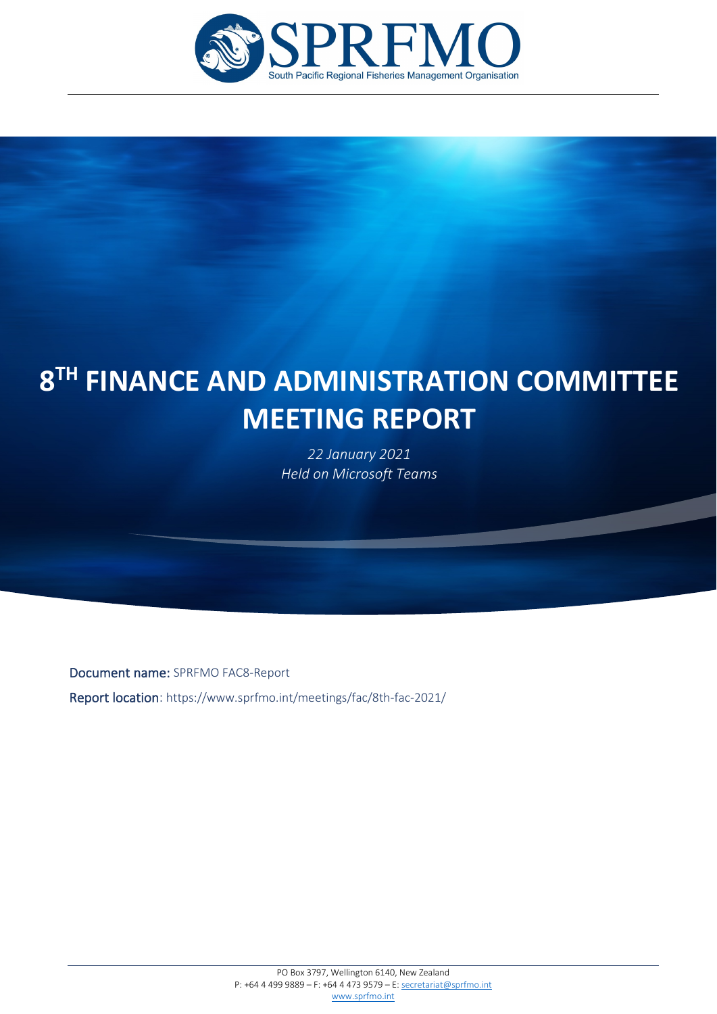

# F **8TH FINANCE AND ADMINISTRATION COMMITTEE MEETING REPORT**

*22 January 2021 Held on Microsoft Teams*

Document name: SPRFMO FAC8-Report Report location: https://www.sprfmo.int/meetings/fac/8th-fac-2021/

í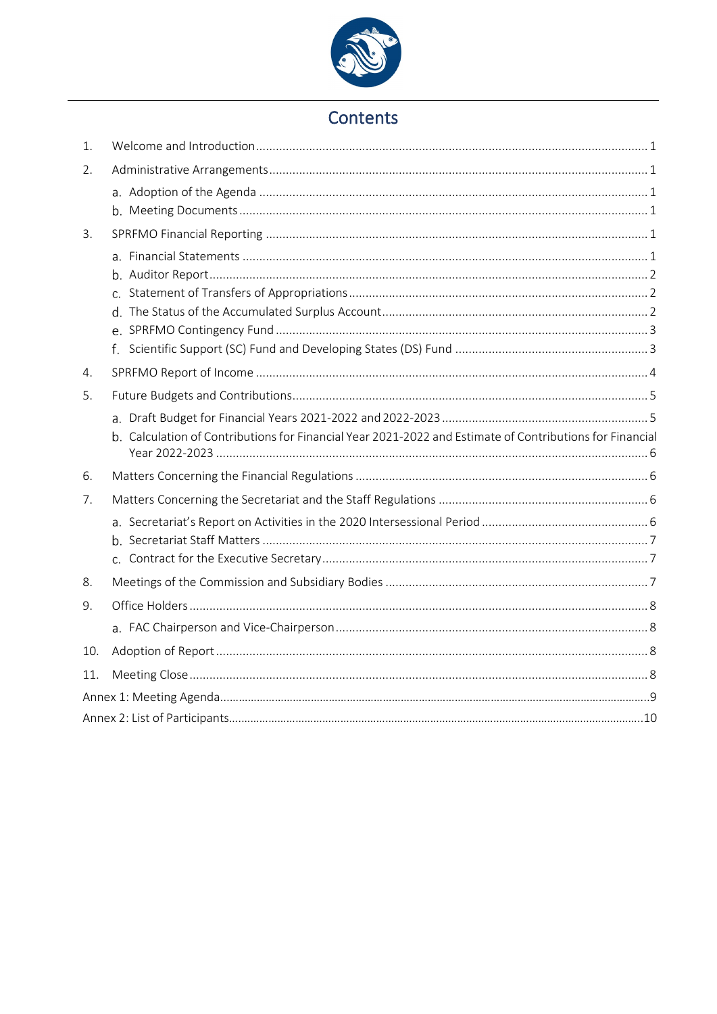

# Contents

| 1.  |                                                                                                          |  |  |
|-----|----------------------------------------------------------------------------------------------------------|--|--|
| 2.  |                                                                                                          |  |  |
|     |                                                                                                          |  |  |
|     |                                                                                                          |  |  |
| 3.  |                                                                                                          |  |  |
|     |                                                                                                          |  |  |
|     |                                                                                                          |  |  |
|     |                                                                                                          |  |  |
|     |                                                                                                          |  |  |
|     |                                                                                                          |  |  |
| 4.  |                                                                                                          |  |  |
| 5.  |                                                                                                          |  |  |
|     |                                                                                                          |  |  |
|     | b. Calculation of Contributions for Financial Year 2021-2022 and Estimate of Contributions for Financial |  |  |
| 6.  |                                                                                                          |  |  |
| 7.  |                                                                                                          |  |  |
|     |                                                                                                          |  |  |
|     |                                                                                                          |  |  |
|     |                                                                                                          |  |  |
| 8.  |                                                                                                          |  |  |
| 9.  |                                                                                                          |  |  |
|     |                                                                                                          |  |  |
| 10. |                                                                                                          |  |  |
| 11. |                                                                                                          |  |  |
|     |                                                                                                          |  |  |
|     |                                                                                                          |  |  |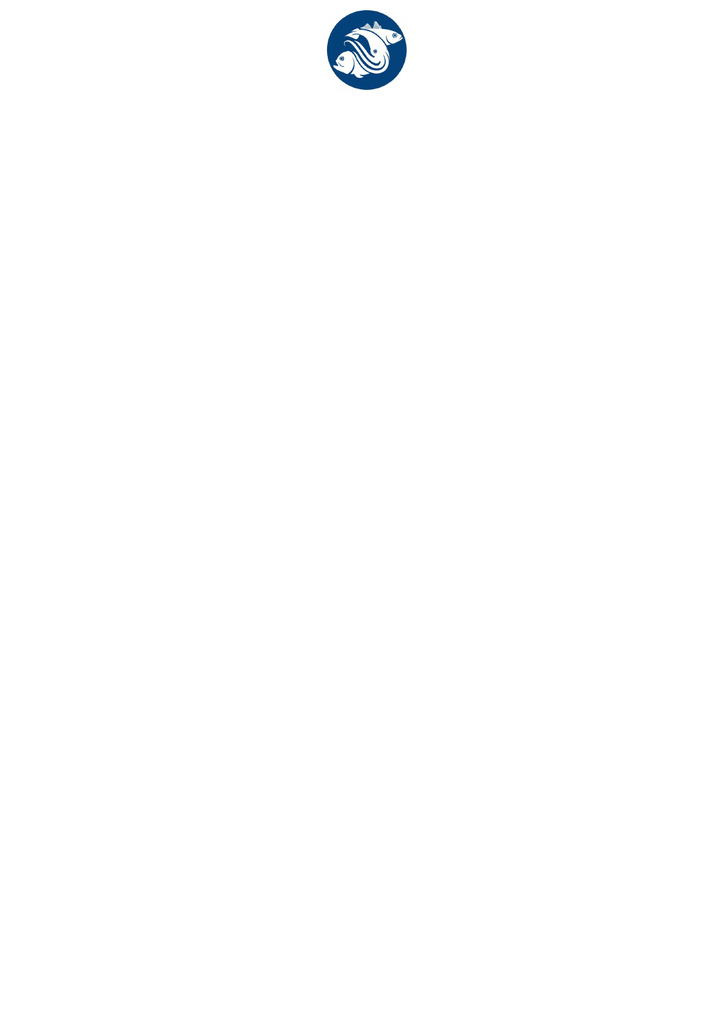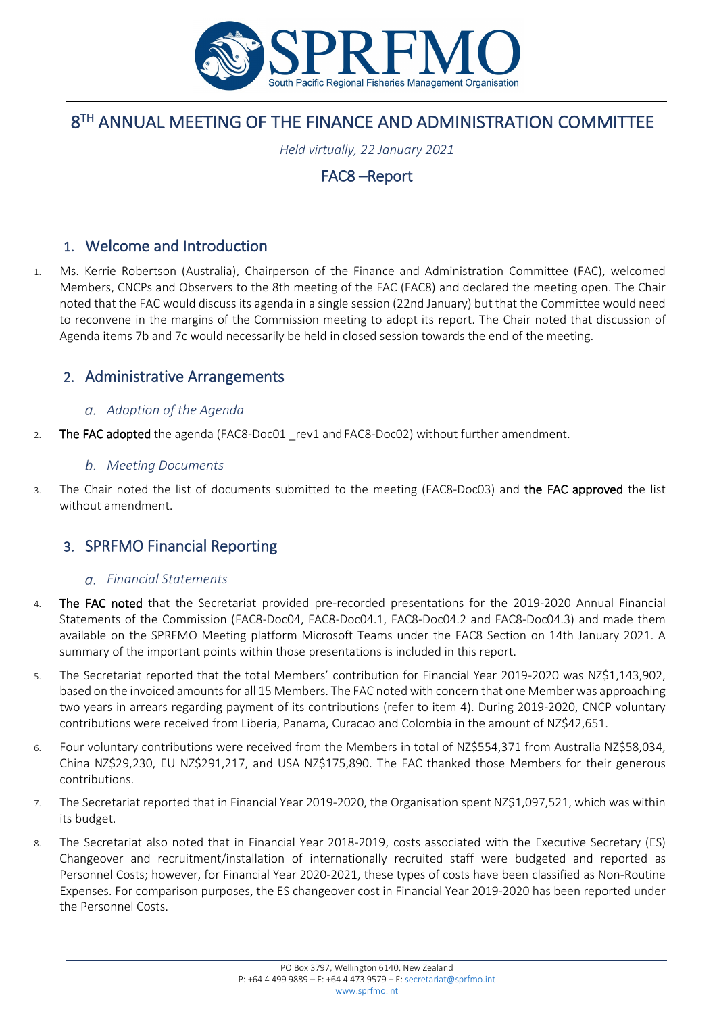

# 8<sup>TH</sup> ANNUAL MEETING OF THE FINANCE AND ADMINISTRATION COMMITTEE

*Held virtually, 22 January 2021*

# FAC8 –Report

# <span id="page-4-0"></span>1. Welcome and Introduction

1. Ms. Kerrie Robertson (Australia), Chairperson of the Finance and Administration Committee (FAC), welcomed Members, CNCPs and Observers to the 8th meeting of the FAC (FAC8) and declared the meeting open. The Chair noted that the FAC would discuss its agenda in a single session (22nd January) but that the Committee would need to reconvene in the margins of the Commission meeting to adopt its report. The Chair noted that discussion of Agenda items 7b and 7c would necessarily be held in closed session towards the end of the meeting.

# <span id="page-4-1"></span>2. Administrative Arrangements

## <span id="page-4-2"></span>*Adoption of the Agenda*

2. The FAC adopted the agenda (FAC8-Doc01 rev1 and FAC8-Doc02) without further amendment.

## <span id="page-4-3"></span>*Meeting Documents*

3. The Chair noted the list of documents submitted to the meeting (FAC8-Doc03) and the FAC approved the list without amendment.

# <span id="page-4-4"></span>3. SPRFMO Financial Reporting

## <span id="page-4-5"></span>*Financial Statements*

- 4. The FAC noted that the Secretariat provided pre-recorded presentations for the 2019-2020 Annual Financial Statements of the Commission (FAC8-Doc04, FAC8-Doc04.1, FAC8-Doc04.2 and FAC8-Doc04.3) and made them available on the SPRFMO Meeting platform Microsoft Teams under the FAC8 Section on 14th January 2021. A summary of the important points within those presentations is included in this report.
- 5. The Secretariat reported that the total Members' contribution for Financial Year 2019-2020 was NZ\$1,143,902, based on the invoiced amounts for all 15 Members. The FAC noted with concern that one Member was approaching two years in arrears regarding payment of its contributions (refer to item 4). During 2019-2020, CNCP voluntary contributions were received from Liberia, Panama, Curacao and Colombia in the amount of NZ\$42,651.
- 6. Four voluntary contributions were received from the Members in total of NZ\$554,371 from Australia NZ\$58,034, China NZ\$29,230, EU NZ\$291,217, and USA NZ\$175,890. The FAC thanked those Members for their generous contributions.
- 7. The Secretariat reported that in Financial Year 2019-2020, the Organisation spent NZ\$1,097,521, which was within its budget.
- 8. The Secretariat also noted that in Financial Year 2018-2019, costs associated with the Executive Secretary (ES) Changeover and recruitment/installation of internationally recruited staff were budgeted and reported as Personnel Costs; however, for Financial Year 2020-2021, these types of costs have been classified as Non-Routine Expenses. For comparison purposes, the ES changeover cost in Financial Year 2019-2020 has been reported under the Personnel Costs.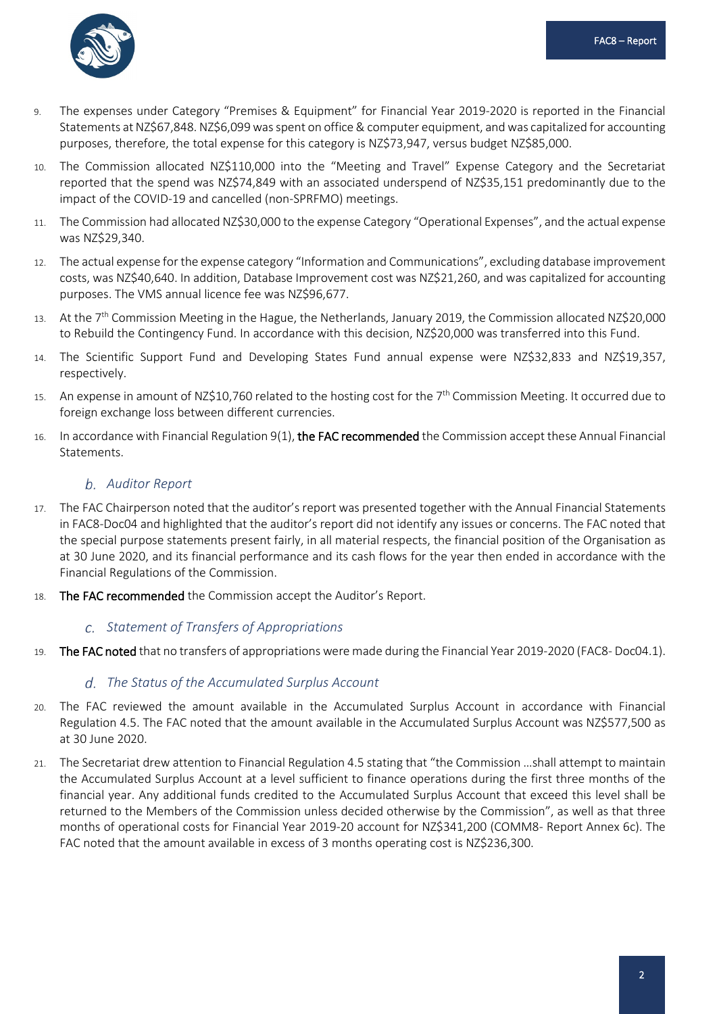

- 9. The expenses under Category "Premises & Equipment" for Financial Year 2019-2020 is reported in the Financial Statements at NZ\$67,848. NZ\$6,099 was spent on office & computer equipment, and was capitalized for accounting purposes, therefore, the total expense for this category is NZ\$73,947, versus budget NZ\$85,000.
- 10. The Commission allocated NZ\$110,000 into the "Meeting and Travel" Expense Category and the Secretariat reported that the spend was NZ\$74,849 with an associated underspend of NZ\$35,151 predominantly due to the impact of the COVID-19 and cancelled (non-SPRFMO) meetings.
- 11. The Commission had allocated NZ\$30,000 to the expense Category "Operational Expenses", and the actual expense was NZ\$29,340.
- 12. The actual expense for the expense category "Information and Communications", excluding database improvement costs, was NZ\$40,640. In addition, Database Improvement cost was NZ\$21,260, and was capitalized for accounting purposes. The VMS annual licence fee was NZ\$96,677.
- 13. At the  $7<sup>th</sup>$  Commission Meeting in the Hague, the Netherlands, January 2019, the Commission allocated NZ\$20,000 to Rebuild the Contingency Fund. In accordance with this decision, NZ\$20,000 was transferred into this Fund.
- 14. The Scientific Support Fund and Developing States Fund annual expense were NZ\$32,833 and NZ\$19,357, respectively.
- 15. An expense in amount of NZ\$10,760 related to the hosting cost for the 7<sup>th</sup> Commission Meeting. It occurred due to foreign exchange loss between different currencies.
- 16. In accordance with Financial Regulation 9(1), the FAC recommended the Commission accept these Annual Financial Statements.

## <span id="page-5-0"></span>*Auditor Report*

- 17. The FAC Chairperson noted that the auditor's report was presented together with the Annual Financial Statements in FAC8-Doc04 and highlighted that the auditor's report did not identify any issues or concerns. The FAC noted that the special purpose statements present fairly, in all material respects, the financial position of the Organisation as at 30 June 2020, and its financial performance and its cash flows for the year then ended in accordance with the Financial Regulations of the Commission.
- 18. The FAC recommended the Commission accept the Auditor's Report.

## <span id="page-5-1"></span>*Statement of Transfers of Appropriations*

19. The FAC noted that no transfers of appropriations were made during the Financial Year 2019-2020 (FAC8- Doc04.1).

## <span id="page-5-2"></span>*The Status of the Accumulated Surplus Account*

- 20. The FAC reviewed the amount available in the Accumulated Surplus Account in accordance with Financial Regulation 4.5. The FAC noted that the amount available in the Accumulated Surplus Account was NZ\$577,500 as at 30 June 2020.
- 21. The Secretariat drew attention to Financial Regulation 4.5 stating that "the Commission …shall attempt to maintain the Accumulated Surplus Account at a level sufficient to finance operations during the first three months of the financial year. Any additional funds credited to the Accumulated Surplus Account that exceed this level shall be returned to the Members of the Commission unless decided otherwise by the Commission", as well as that three months of operational costs for Financial Year 2019-20 account for NZ\$341,200 (COMM8- Report Annex 6c). The FAC noted that the amount available in excess of 3 months operating cost is NZ\$236,300.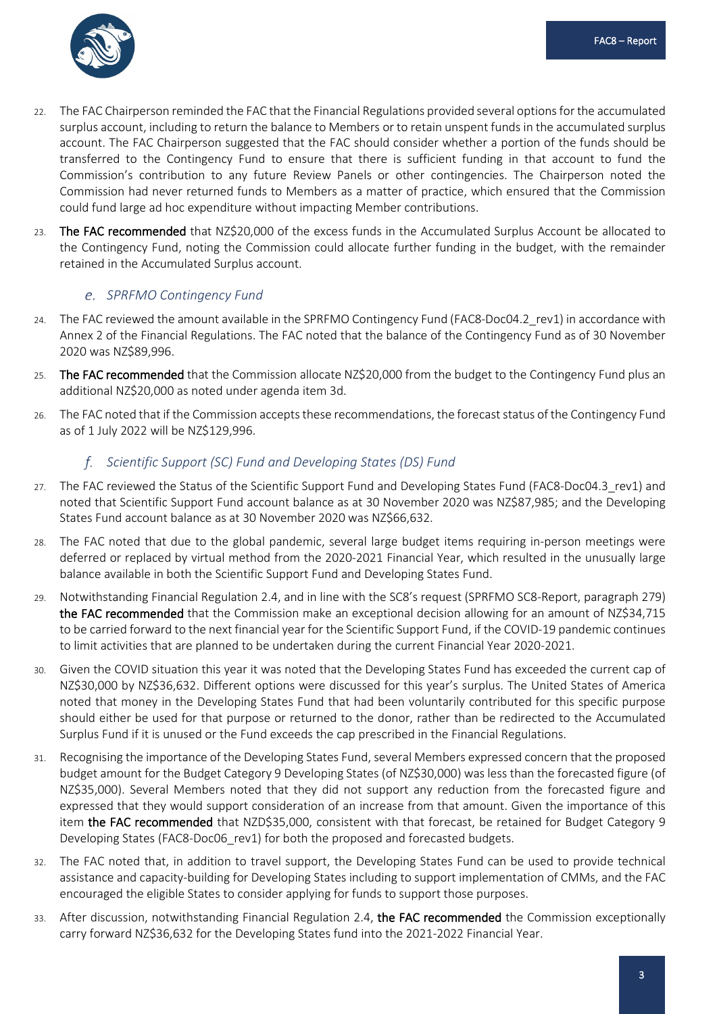

- 22. The FAC Chairperson reminded the FAC that the Financial Regulations provided several options for the accumulated surplus account, including to return the balance to Members or to retain unspent funds in the accumulated surplus account. The FAC Chairperson suggested that the FAC should consider whether a portion of the funds should be transferred to the Contingency Fund to ensure that there is sufficient funding in that account to fund the Commission's contribution to any future Review Panels or other contingencies. The Chairperson noted the Commission had never returned funds to Members as a matter of practice, which ensured that the Commission could fund large ad hoc expenditure without impacting Member contributions.
- 23. The FAC recommended that NZ\$20,000 of the excess funds in the Accumulated Surplus Account be allocated to the Contingency Fund, noting the Commission could allocate further funding in the budget, with the remainder retained in the Accumulated Surplus account.

## <span id="page-6-0"></span>*SPRFMO Contingency Fund*

- 24. The FAC reviewed the amount available in the SPRFMO Contingency Fund (FAC8-Doc04.2\_rev1) in accordance with Annex 2 of the Financial Regulations. The FAC noted that the balance of the Contingency Fund as of 30 November 2020 was NZ\$89,996.
- 25. The FAC recommended that the Commission allocate NZ\$20,000 from the budget to the Contingency Fund plus an additional NZ\$20,000 as noted under agenda item 3d.
- 26. The FAC noted that if the Commission accepts these recommendations, the forecast status of the Contingency Fund as of 1 July 2022 will be NZ\$129,996.

## <span id="page-6-1"></span>*Scientific Support (SC) Fund and Developing States (DS) Fund*

- 27. The FAC reviewed the Status of the Scientific Support Fund and Developing States Fund (FAC8-Doc04.3 rev1) and noted that Scientific Support Fund account balance as at 30 November 2020 was NZ\$87,985; and the Developing States Fund account balance as at 30 November 2020 was NZ\$66,632.
- 28. The FAC noted that due to the global pandemic, several large budget items requiring in-person meetings were deferred or replaced by virtual method from the 2020-2021 Financial Year, which resulted in the unusually large balance available in both the Scientific Support Fund and Developing States Fund.
- 29. Notwithstanding Financial Regulation 2.4, and in line with the SC8's request (SPRFMO SC8-Report, paragraph 279) the FAC recommended that the Commission make an exceptional decision allowing for an amount of NZ\$34,715 to be carried forward to the next financial year for the Scientific Support Fund, if the COVID-19 pandemic continues to limit activities that are planned to be undertaken during the current Financial Year 2020-2021.
- 30. Given the COVID situation this year it was noted that the Developing States Fund has exceeded the current cap of NZ\$30,000 by NZ\$36,632. Different options were discussed for this year's surplus. The United States of America noted that money in the Developing States Fund that had been voluntarily contributed for this specific purpose should either be used for that purpose or returned to the donor, rather than be redirected to the Accumulated Surplus Fund if it is unused or the Fund exceeds the cap prescribed in the Financial Regulations.
- 31. Recognising the importance of the Developing States Fund, several Members expressed concern that the proposed budget amount for the Budget Category 9 Developing States (of NZ\$30,000) was less than the forecasted figure (of NZ\$35,000). Several Members noted that they did not support any reduction from the forecasted figure and expressed that they would support consideration of an increase from that amount. Given the importance of this item the FAC recommended that NZD\$35,000, consistent with that forecast, be retained for Budget Category 9 Developing States (FAC8-Doc06 rev1) for both the proposed and forecasted budgets.
- 32. The FAC noted that, in addition to travel support, the Developing States Fund can be used to provide technical assistance and capacity-building for Developing States including to support implementation of CMMs, and the FAC encouraged the eligible States to consider applying for funds to support those purposes.
- 33. After discussion, notwithstanding Financial Regulation 2.4, the FAC recommended the Commission exceptionally carry forward NZ\$36,632 for the Developing States fund into the 2021-2022 Financial Year.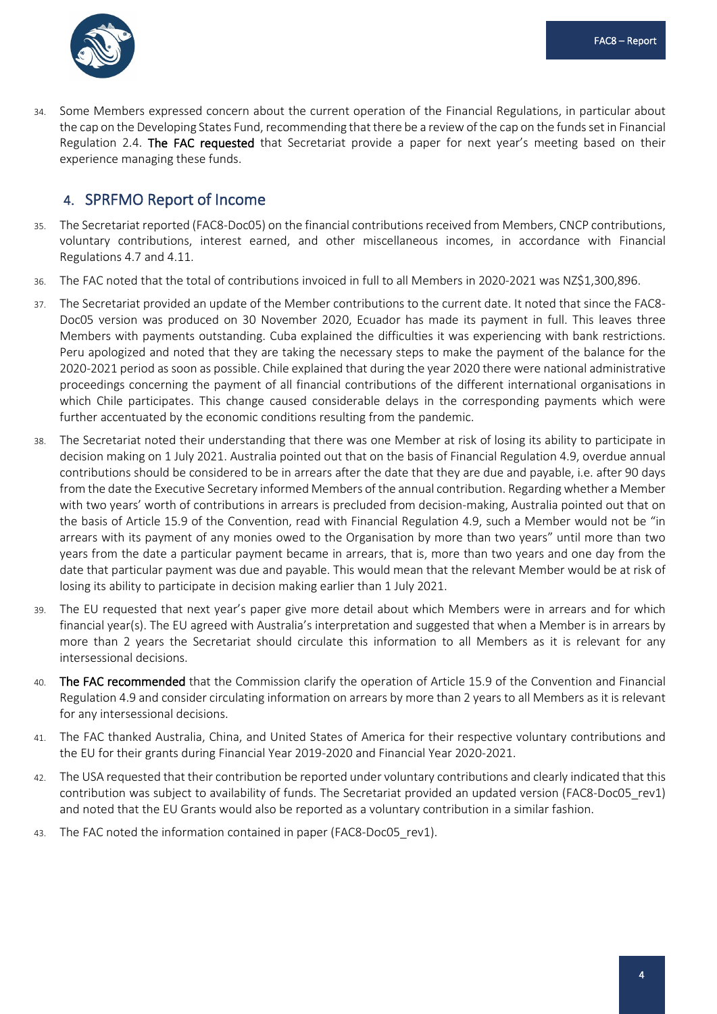

Some Members expressed concern about the current operation of the Financial Regulations, in particular about the cap on the Developing States Fund, recommending that there be a review of the cap on the funds set in Financial Regulation 2.4. The FAC requested that Secretariat provide a paper for next year's meeting based on their experience managing these funds.

## <span id="page-7-0"></span>4. SPRFMO Report of Income

- 35. The Secretariat reported (FAC8-Doc05) on the financial contributions received from Members, CNCP contributions, voluntary contributions, interest earned, and other miscellaneous incomes, in accordance with Financial Regulations 4.7 and 4.11.
- 36. The FAC noted that the total of contributions invoiced in full to all Members in 2020-2021 was NZ\$1,300,896.
- 37. The Secretariat provided an update of the Member contributions to the current date. It noted that since the FAC8- Doc05 version was produced on 30 November 2020, Ecuador has made its payment in full. This leaves three Members with payments outstanding. Cuba explained the difficulties it was experiencing with bank restrictions. Peru apologized and noted that they are taking the necessary steps to make the payment of the balance for the 2020-2021 period as soon as possible. Chile explained that during the year 2020 there were national administrative proceedings concerning the payment of all financial contributions of the different international organisations in which Chile participates. This change caused considerable delays in the corresponding payments which were further accentuated by the economic conditions resulting from the pandemic.
- 38. The Secretariat noted their understanding that there was one Member at risk of losing its ability to participate in decision making on 1 July 2021. Australia pointed out that on the basis of Financial Regulation 4.9, overdue annual contributions should be considered to be in arrears after the date that they are due and payable, i.e. after 90 days from the date the Executive Secretary informed Members of the annual contribution. Regarding whether a Member with two years' worth of contributions in arrears is precluded from decision-making, Australia pointed out that on the basis of Article 15.9 of the Convention, read with Financial Regulation 4.9, such a Member would not be "in arrears with its payment of any monies owed to the Organisation by more than two years" until more than two years from the date a particular payment became in arrears, that is, more than two years and one day from the date that particular payment was due and payable. This would mean that the relevant Member would be at risk of losing its ability to participate in decision making earlier than 1 July 2021.
- 39. The EU requested that next year's paper give more detail about which Members were in arrears and for which financial year(s). The EU agreed with Australia's interpretation and suggested that when a Member is in arrears by more than 2 years the Secretariat should circulate this information to all Members as it is relevant for any intersessional decisions.
- 40. The FAC recommended that the Commission clarify the operation of Article 15.9 of the Convention and Financial Regulation 4.9 and consider circulating information on arrears by more than 2 years to all Members as it is relevant for any intersessional decisions.
- 41. The FAC thanked Australia, China, and United States of America for their respective voluntary contributions and the EU for their grants during Financial Year 2019-2020 and Financial Year 2020-2021.
- 42. The USA requested that their contribution be reported under voluntary contributions and clearly indicated that this contribution was subject to availability of funds. The Secretariat provided an updated version (FAC8-Doc05\_rev1) and noted that the EU Grants would also be reported as a voluntary contribution in a similar fashion.
- 43. The FAC noted the information contained in paper (FAC8-Doc05\_rev1).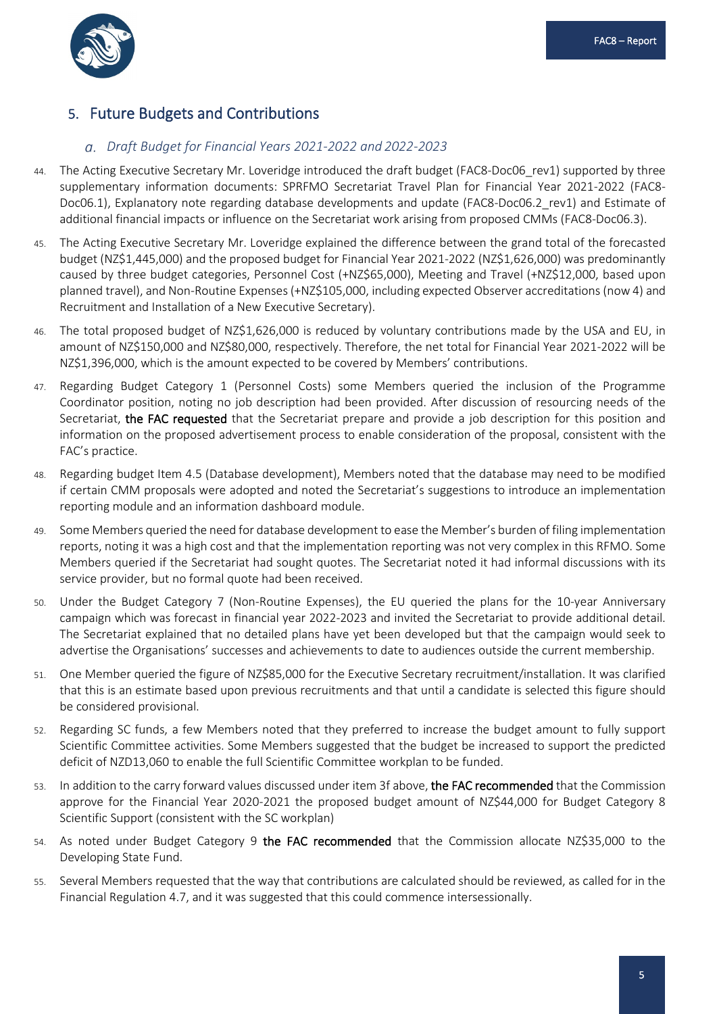

# <span id="page-8-0"></span>5. Future Budgets and Contributions

#### <span id="page-8-1"></span>*Draft Budget for Financial Years 2021-2022 and 2022-2023*

- 44. The Acting Executive Secretary Mr. Loveridge introduced the draft budget (FAC8-Doc06\_rev1) supported by three supplementary information documents: SPRFMO Secretariat Travel Plan for Financial Year 2021-2022 (FAC8- Doc06.1), Explanatory note regarding database developments and update (FAC8-Doc06.2 rev1) and Estimate of additional financial impacts or influence on the Secretariat work arising from proposed CMMs (FAC8-Doc06.3).
- 45. The Acting Executive Secretary Mr. Loveridge explained the difference between the grand total of the forecasted budget (NZ\$1,445,000) and the proposed budget for Financial Year 2021-2022 (NZ\$1,626,000) was predominantly caused by three budget categories, Personnel Cost (+NZ\$65,000), Meeting and Travel (+NZ\$12,000, based upon planned travel), and Non-Routine Expenses (+NZ\$105,000, including expected Observer accreditations (now 4) and Recruitment and Installation of a New Executive Secretary).
- 46. The total proposed budget of NZ\$1,626,000 is reduced by voluntary contributions made by the USA and EU, in amount of NZ\$150,000 and NZ\$80,000, respectively. Therefore, the net total for Financial Year 2021-2022 will be NZ\$1,396,000, which is the amount expected to be covered by Members' contributions.
- 47. Regarding Budget Category 1 (Personnel Costs) some Members queried the inclusion of the Programme Coordinator position, noting no job description had been provided. After discussion of resourcing needs of the Secretariat, the FAC requested that the Secretariat prepare and provide a job description for this position and information on the proposed advertisement process to enable consideration of the proposal, consistent with the FAC's practice.
- 48. Regarding budget Item 4.5 (Database development), Members noted that the database may need to be modified if certain CMM proposals were adopted and noted the Secretariat's suggestions to introduce an implementation reporting module and an information dashboard module.
- 49. Some Members queried the need for database development to ease the Member's burden of filing implementation reports, noting it was a high cost and that the implementation reporting was not very complex in this RFMO. Some Members queried if the Secretariat had sought quotes. The Secretariat noted it had informal discussions with its service provider, but no formal quote had been received.
- 50. Under the Budget Category 7 (Non-Routine Expenses), the EU queried the plans for the 10-year Anniversary campaign which was forecast in financial year 2022-2023 and invited the Secretariat to provide additional detail. The Secretariat explained that no detailed plans have yet been developed but that the campaign would seek to advertise the Organisations' successes and achievements to date to audiences outside the current membership.
- 51. One Member queried the figure of NZ\$85,000 for the Executive Secretary recruitment/installation. It was clarified that this is an estimate based upon previous recruitments and that until a candidate is selected this figure should be considered provisional.
- 52. Regarding SC funds, a few Members noted that they preferred to increase the budget amount to fully support Scientific Committee activities. Some Members suggested that the budget be increased to support the predicted deficit of NZD13,060 to enable the full Scientific Committee workplan to be funded.
- 53. In addition to the carry forward values discussed under item 3f above, the FAC recommended that the Commission approve for the Financial Year 2020-2021 the proposed budget amount of NZ\$44,000 for Budget Category 8 Scientific Support (consistent with the SC workplan)
- 54. As noted under Budget Category 9 the FAC recommended that the Commission allocate NZ\$35,000 to the Developing State Fund.
- 55. Several Members requested that the way that contributions are calculated should be reviewed, as called for in the Financial Regulation 4.7, and it was suggested that this could commence intersessionally.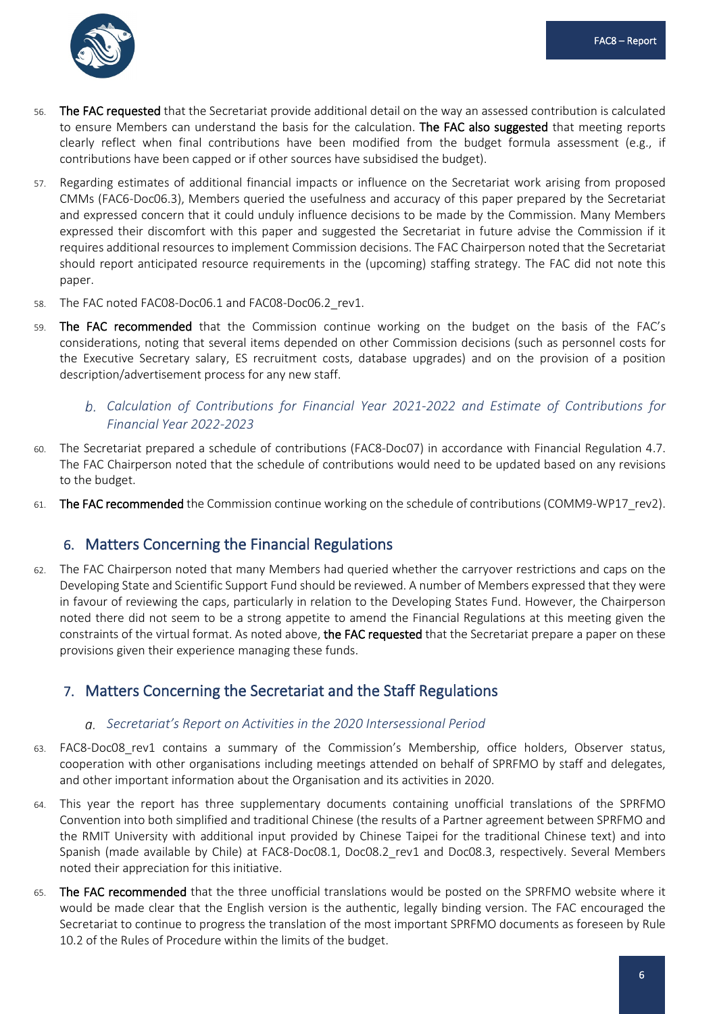

- 56. The FAC requested that the Secretariat provide additional detail on the way an assessed contribution is calculated to ensure Members can understand the basis for the calculation. The FAC also suggested that meeting reports clearly reflect when final contributions have been modified from the budget formula assessment (e.g., if contributions have been capped or if other sources have subsidised the budget).
- 57. Regarding estimates of additional financial impacts or influence on the Secretariat work arising from proposed CMMs (FAC6-Doc06.3), Members queried the usefulness and accuracy of this paper prepared by the Secretariat and expressed concern that it could unduly influence decisions to be made by the Commission. Many Members expressed their discomfort with this paper and suggested the Secretariat in future advise the Commission if it requires additional resources to implement Commission decisions. The FAC Chairperson noted that the Secretariat should report anticipated resource requirements in the (upcoming) staffing strategy. The FAC did not note this paper.
- 58. The FAC noted FAC08-Doc06.1 and FAC08-Doc06.2 rev1.
- 59. The FAC recommended that the Commission continue working on the budget on the basis of the FAC's considerations, noting that several items depended on other Commission decisions (such as personnel costs for the Executive Secretary salary, ES recruitment costs, database upgrades) and on the provision of a position description/advertisement process for any new staff.

## <span id="page-9-0"></span>*Calculation of Contributions for Financial Year 2021-2022 and Estimate of Contributions for Financial Year 2022-2023*

- 60. The Secretariat prepared a schedule of contributions (FAC8-Doc07) in accordance with Financial Regulation 4.7. The FAC Chairperson noted that the schedule of contributions would need to be updated based on any revisions to the budget.
- 61. The FAC recommended the Commission continue working on the schedule of contributions (COMM9-WP17\_rev2).

## <span id="page-9-1"></span>6. Matters Concerning the Financial Regulations

62. The FAC Chairperson noted that many Members had queried whether the carryover restrictions and caps on the Developing State and Scientific Support Fund should be reviewed. A number of Members expressed that they were in favour of reviewing the caps, particularly in relation to the Developing States Fund. However, the Chairperson noted there did not seem to be a strong appetite to amend the Financial Regulations at this meeting given the constraints of the virtual format. As noted above, the FAC requested that the Secretariat prepare a paper on these provisions given their experience managing these funds.

# <span id="page-9-2"></span>7. Matters Concerning the Secretariat and the Staff Regulations

## <span id="page-9-3"></span>*Secretariat's Report on Activities in the 2020 Intersessional Period*

- 63. FAC8-Doc08\_rev1 contains a summary of the Commission's Membership, office holders, Observer status, cooperation with other organisations including meetings attended on behalf of SPRFMO by staff and delegates, and other important information about the Organisation and its activities in 2020.
- 64. This year the report has three supplementary documents containing unofficial translations of the SPRFMO Convention into both simplified and traditional Chinese (the results of a Partner agreement between SPRFMO and the RMIT University with additional input provided by Chinese Taipei for the traditional Chinese text) and into Spanish (made available by Chile) at FAC8-Doc08.1, Doc08.2\_rev1 and Doc08.3, respectively. Several Members noted their appreciation for this initiative.
- 65. The FAC recommended that the three unofficial translations would be posted on the SPRFMO website where it would be made clear that the English version is the authentic, legally binding version. The FAC encouraged the Secretariat to continue to progress the translation of the most important SPRFMO documents as foreseen by Rule 10.2 of the Rules of Procedure within the limits of the budget.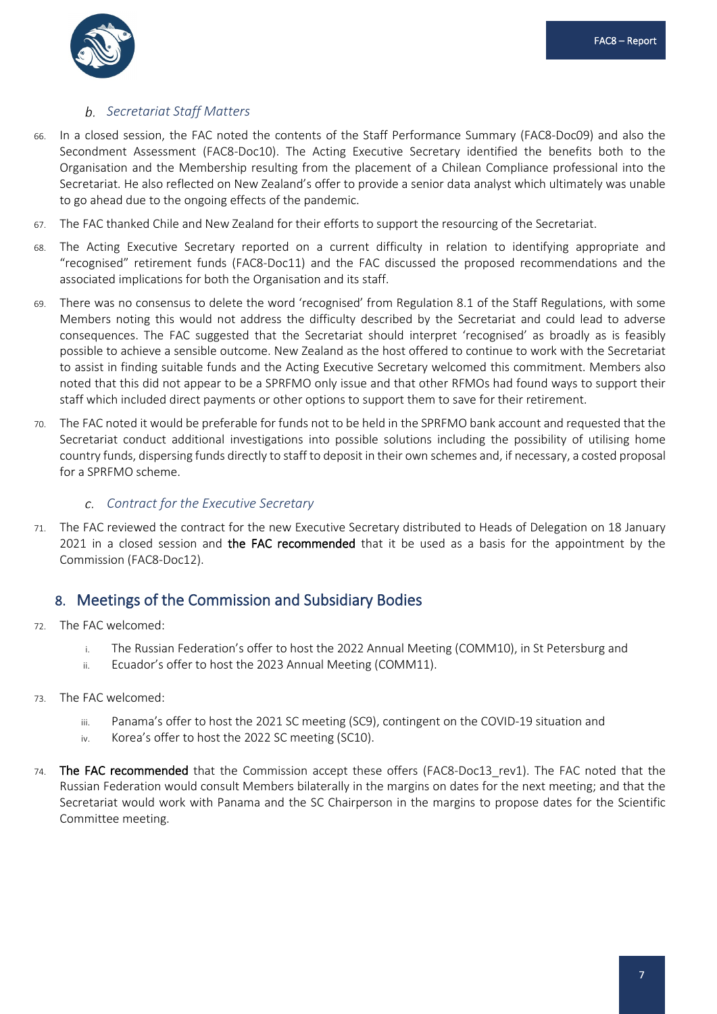

## <span id="page-10-0"></span>*Secretariat Staff Matters*

- 66. In a closed session, the FAC noted the contents of the Staff Performance Summary (FAC8-Doc09) and also the Secondment Assessment (FAC8-Doc10). The Acting Executive Secretary identified the benefits both to the Organisation and the Membership resulting from the placement of a Chilean Compliance professional into the Secretariat. He also reflected on New Zealand's offer to provide a senior data analyst which ultimately was unable to go ahead due to the ongoing effects of the pandemic.
- 67. The FAC thanked Chile and New Zealand for their efforts to support the resourcing of the Secretariat.
- 68. The Acting Executive Secretary reported on a current difficulty in relation to identifying appropriate and "recognised" retirement funds (FAC8-Doc11) and the FAC discussed the proposed recommendations and the associated implications for both the Organisation and its staff.
- 69. There was no consensus to delete the word 'recognised' from Regulation 8.1 of the Staff Regulations, with some Members noting this would not address the difficulty described by the Secretariat and could lead to adverse consequences. The FAC suggested that the Secretariat should interpret 'recognised' as broadly as is feasibly possible to achieve a sensible outcome. New Zealand as the host offered to continue to work with the Secretariat to assist in finding suitable funds and the Acting Executive Secretary welcomed this commitment. Members also noted that this did not appear to be a SPRFMO only issue and that other RFMOs had found ways to support their staff which included direct payments or other options to support them to save for their retirement.
- 70. The FAC noted it would be preferable for funds not to be held in the SPRFMO bank account and requested that the Secretariat conduct additional investigations into possible solutions including the possibility of utilising home country funds, dispersing funds directly to staff to deposit in their own schemes and, if necessary, a costed proposal for a SPRFMO scheme.

## <span id="page-10-1"></span>*Contract for the Executive Secretary*

71. The FAC reviewed the contract for the new Executive Secretary distributed to Heads of Delegation on 18 January 2021 in a closed session and the FAC recommended that it be used as a basis for the appointment by the Commission (FAC8-Doc12).

## <span id="page-10-2"></span>8. Meetings of the Commission and Subsidiary Bodies

- The FAC welcomed:
	- i. The Russian Federation's offer to host the 2022 Annual Meeting (COMM10), in St Petersburg and
	- ii. Ecuador's offer to host the 2023 Annual Meeting (COMM11).
- 73. The FAC welcomed:
	- iii. Panama's offer to host the 2021 SC meeting (SC9), contingent on the COVID-19 situation and
	- iv. Korea's offer to host the 2022 SC meeting (SC10).
- 74. The FAC recommended that the Commission accept these offers (FAC8-Doc13\_rev1). The FAC noted that the Russian Federation would consult Members bilaterally in the margins on dates for the next meeting; and that the Secretariat would work with Panama and the SC Chairperson in the margins to propose dates for the Scientific Committee meeting.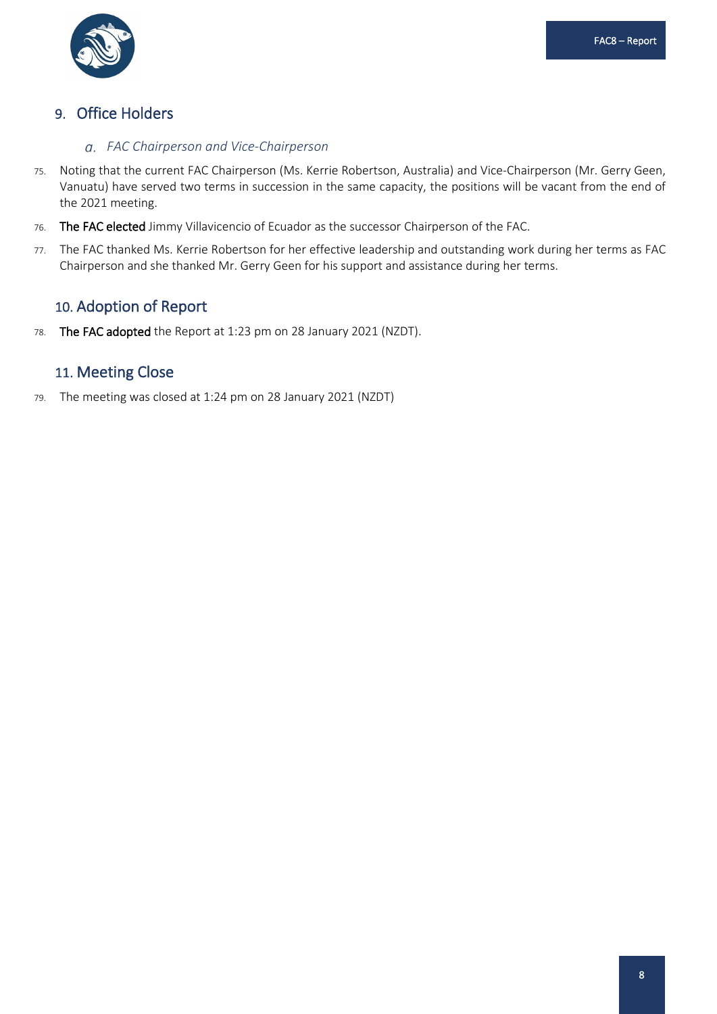

# <span id="page-11-0"></span>9. Office Holders

## <span id="page-11-1"></span>*FAC Chairperson and Vice-Chairperson*

- 75. Noting that the current FAC Chairperson (Ms. Kerrie Robertson, Australia) and Vice-Chairperson (Mr. Gerry Geen, Vanuatu) have served two terms in succession in the same capacity, the positions will be vacant from the end of the 2021 meeting.
- 76. The FAC elected Jimmy Villavicencio of Ecuador as the successor Chairperson of the FAC.
- 77. The FAC thanked Ms. Kerrie Robertson for her effective leadership and outstanding work during her terms as FAC Chairperson and she thanked Mr. Gerry Geen for his support and assistance during her terms.

# <span id="page-11-2"></span>10. Adoption of Report

78. The FAC adopted the Report at 1:23 pm on 28 January 2021 (NZDT).

# <span id="page-11-3"></span>11. Meeting Close

79. The meeting was closed at 1:24 pm on 28 January 2021 (NZDT)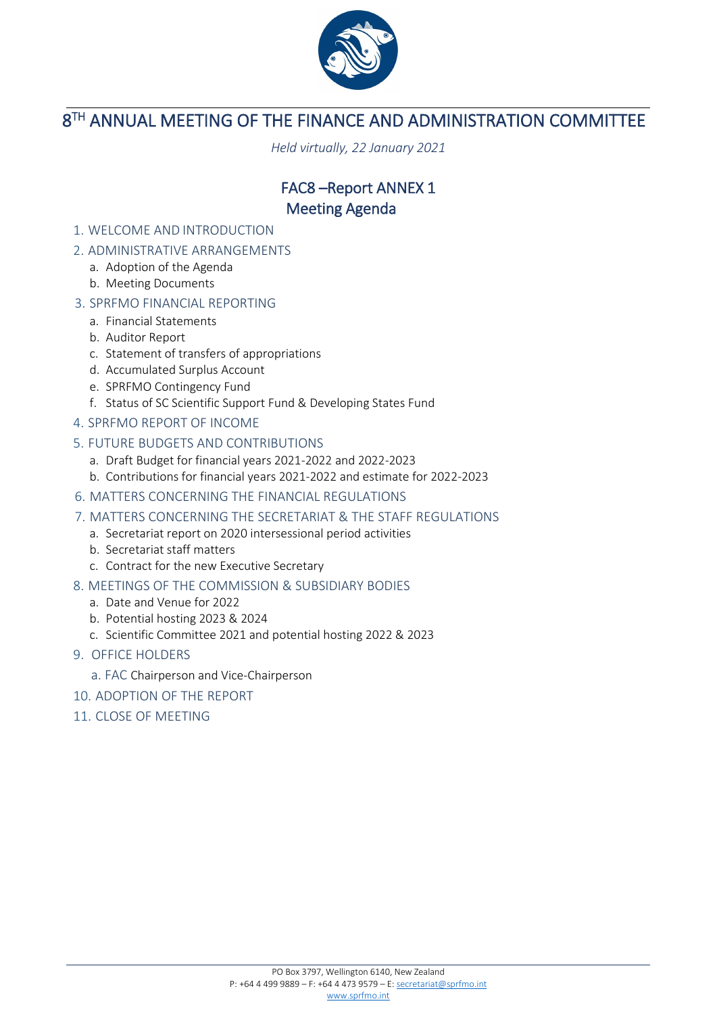

# 8TH ANNUAL MEETING OF THE FINANCE AND ADMINISTRATION COMMITTEE

*Held virtually, 22 January 2021*

# FAC8 –Report ANNEX 1 Meeting Agenda

- 1. WELCOME AND INTRODUCTION
- 2. ADMINISTRATIVE ARRANGEMENTS
	- a. Adoption of the Agenda
	- b. Meeting Documents
- 3. SPRFMO FINANCIAL REPORTING
	- a. Financial Statements
	- b. Auditor Report
	- c. Statement of transfers of appropriations
	- d. Accumulated Surplus Account
	- e. SPRFMO Contingency Fund
	- f. Status of SC Scientific Support Fund & Developing States Fund
- 4. SPRFMO REPORT OF INCOME
- 5. FUTURE BUDGETS AND CONTRIBUTIONS
	- a. Draft Budget for financial years 2021-2022 and 2022-2023
	- b. Contributions for financial years 2021-2022 and estimate for 2022-2023
- 6. MATTERS CONCERNING THE FINANCIAL REGULATIONS
- 7. MATTERS CONCERNING THE SECRETARIAT & THE STAFF REGULATIONS
	- a. Secretariat report on 2020 intersessional period activities
	- b. Secretariat staff matters
	- c. Contract for the new Executive Secretary
- 8. MEETINGS OF THE COMMISSION & SUBSIDIARY BODIES
	- a. Date and Venue for 2022
	- b. Potential hosting 2023 & 2024
	- c. Scientific Committee 2021 and potential hosting 2022 & 2023
- 9. OFFICE HOLDERS
	- a. FAC Chairperson and Vice-Chairperson
- 10. ADOPTION OF THE REPORT
- 11. CLOSE OF MEETING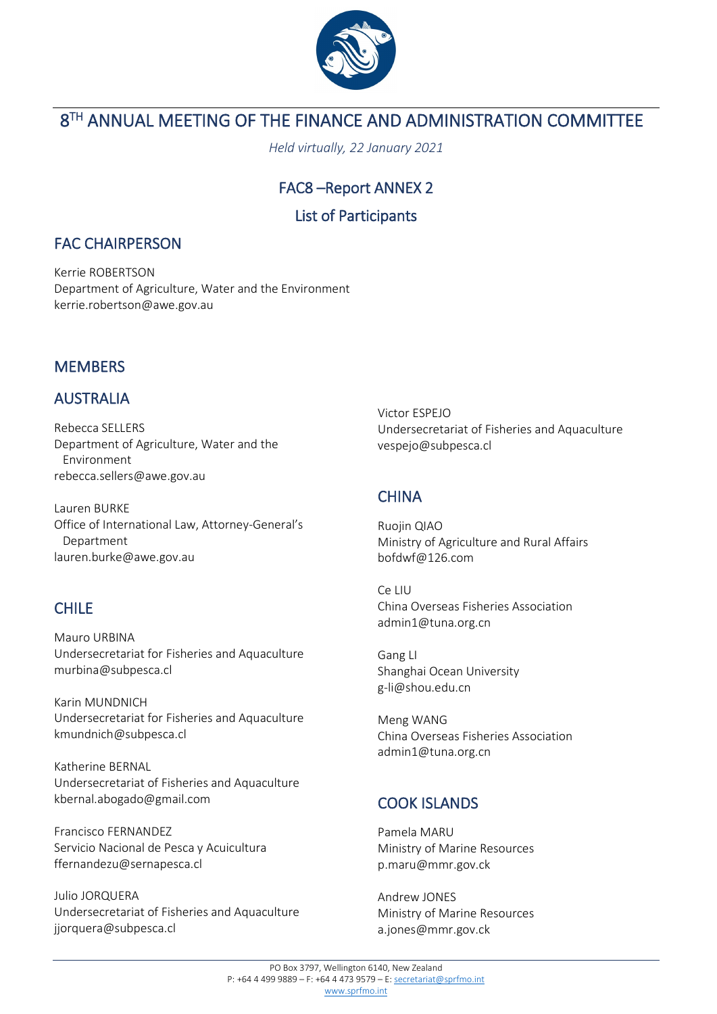

# **8TH ANNUAL MEETING OF THE FINANCE AND ADMINISTRATION COMMITTEE**

*Held virtually, 22 January 2021*

# FAC8 –Report ANNEX 2

# List of Participants

# FAC CHAIRPERSON

Kerrie ROBERTSON Department of Agriculture, Water and the Environment kerrie.robertson@awe.gov.au

# **MEMBERS**

# AUSTRALIA

Rebecca SELLERS Department of Agriculture, Water and the Environment rebecca.sellers@awe.gov.au

Lauren BURKE Office of International Law, Attorney-General's Department lauren.burke@awe.gov.au

# CHILE

Mauro URBINA Undersecretariat for Fisheries and Aquaculture murbina@subpesca.cl

Karin MUNDNICH Undersecretariat for Fisheries and Aquaculture kmundnich@subpesca.cl

Katherine BERNAL Undersecretariat of Fisheries and Aquaculture kbernal.abogado@gmail.com

Francisco FERNANDEZ Servicio Nacional de Pesca y Acuicultura ffernandezu@sernapesca.cl

Julio JORQUERA Undersecretariat of Fisheries and Aquaculture jjorquera@subpesca.cl

Victor ESPEJO Undersecretariat of Fisheries and Aquaculture vespejo@subpesca.cl

# **CHINA**

Ruojin QIAO Ministry of Agriculture and Rural Affairs bofdwf@126.com

Ce LIU China Overseas Fisheries Association admin1@tuna.org.cn

Gang LI Shanghai Ocean University g-li@shou.edu.cn

Meng WANG China Overseas Fisheries Association admin1@tuna.org.cn

# COOK ISLANDS

Pamela MARU Ministry of Marine Resources p.maru@mmr.gov.ck

Andrew JONES Ministry of Marine Resources a.jones@mmr.gov.ck

PO Box 3797, Wellington 6140, New Zealand P: +64 4 499 9889 – F: +64 4 473 9579 – E[: secretariat@sprfmo.int](mailto:secretariat@sprfmo.int) [www.sprfmo.int](http://www.sprfmo.int/)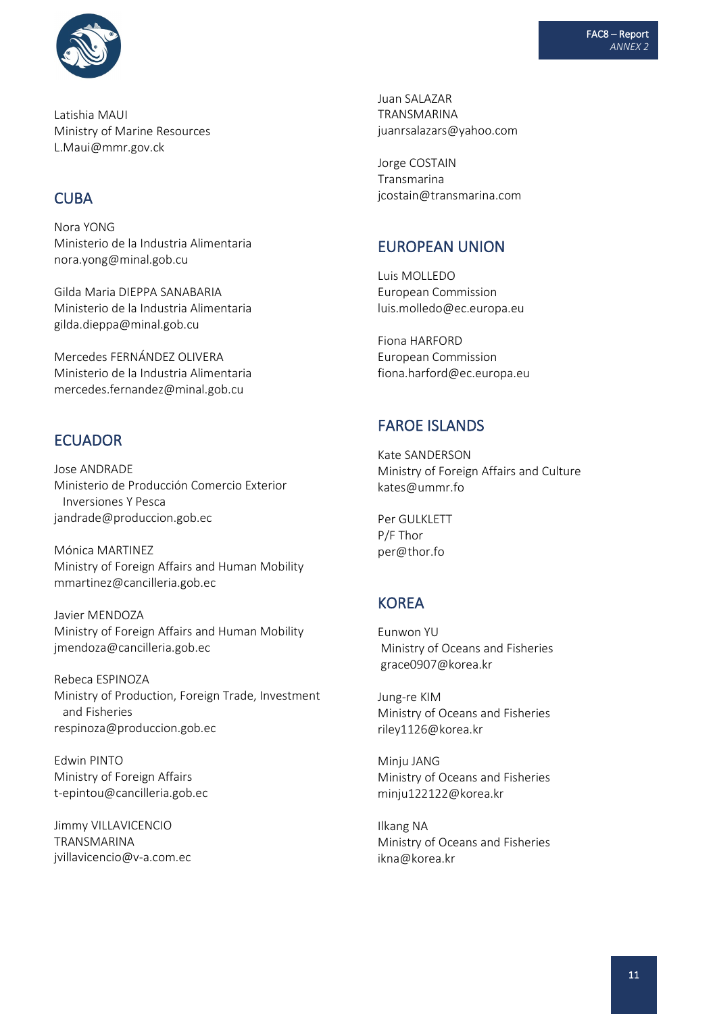

Latishia MAUI Ministry of Marine Resources L.Maui@mmr.gov.ck

## **CUBA**

Nora YONG Ministerio de la Industria Alimentaria nora.yong@minal.gob.cu

Gilda Maria DIEPPA SANABARIA Ministerio de la Industria Alimentaria gilda.dieppa@minal.gob.cu

Mercedes FERNÁNDEZ OLIVERA Ministerio de la Industria Alimentaria mercedes.fernandez@minal.gob.cu

# ECUADOR

Jose ANDRADE Ministerio de Producción Comercio Exterior Inversiones Y Pesca jandrade@produccion.gob.ec

Mónica MARTINEZ Ministry of Foreign Affairs and Human Mobility mmartinez@cancilleria.gob.ec

Javier MENDOZA Ministry of Foreign Affairs and Human Mobility jmendoza@cancilleria.gob.ec

Rebeca ESPINOZA Ministry of Production, Foreign Trade, Investment and Fisheries respinoza@produccion.gob.ec

Edwin PINTO Ministry of Foreign Affairs t-epintou@cancilleria.gob.ec

Jimmy VILLAVICENCIO TRANSMARINA jvillavicencio@v-a.com.ec

Juan SALAZAR TRANSMARINA juanrsalazars@yahoo.com

Jorge COSTAIN Transmarina jcostain@transmarina.com

## EUROPEAN UNION

Luis MOLLEDO European Commission luis.molledo@ec.europa.eu

Fiona HARFORD European Commission fiona.harford@ec.europa.eu

# FAROE ISLANDS

Kate SANDERSON Ministry of Foreign Affairs and Culture kates@ummr.fo

Per GULKLETT P/F Thor per@thor.fo

# KOREA

Eunwon YU Ministry of Oceans and Fisheries grace0907@korea.kr

Jung-re KIM Ministry of Oceans and Fisheries riley1126@korea.kr

Minju JANG Ministry of Oceans and Fisheries minju122122@korea.kr

Ilkang NA Ministry of Oceans and Fisheries ikna@korea.kr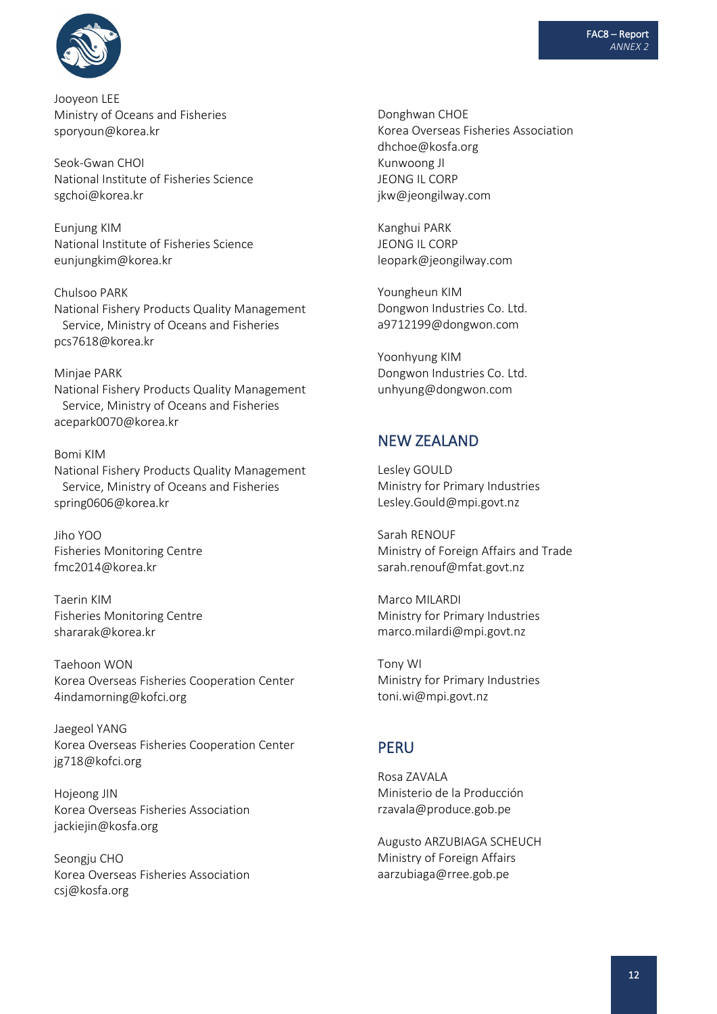

Jooyeon LEE Ministry of Oceans and Fisheries sporyoun@korea.kr

Seok-Gwan CHOI National Institute of Fisheries Science sgchoi@korea.kr

Eunjung KIM National Institute of Fisheries Science eunjungkim@korea.kr

Chulsoo PARK National Fishery Products Quality Management Service, Ministry of Oceans and Fisheries pcs7618@korea.kr

Minjae PARK National Fishery Products Quality Management Service, Ministry of Oceans and Fisheries acepark0070@korea.kr

Bomi KIM National Fishery Products Quality Management Service, Ministry of Oceans and Fisheries spring0606@korea.kr

Jiho YOO Fisheries Monitoring Centre fmc2014@korea.kr

Taerin KIM Fisheries Monitoring Centre shararak@korea.kr

Taehoon WON Korea Overseas Fisheries Cooperation Center 4indamorning@kofci.org

Jaegeol YANG Korea Overseas Fisheries Cooperation Center jg718@kofci.org

Hojeong JIN Korea Overseas Fisheries Association jackiejin@kosfa.org

Seongju CHO Korea Overseas Fisheries Association csj@kosfa.org

Donghwan CHOE Korea Overseas Fisheries Association dhchoe@kosfa.org Kunwoong JI JEONG IL CORP jkw@jeongilway.com

Kanghui PARK JEONG IL CORP leopark@jeongilway.com

Youngheun KIM Dongwon Industries Co. Ltd. a9712199@dongwon.com

Yoonhyung KIM Dongwon Industries Co. Ltd. unhyung@dongwon.com

## NEW ZEALAND

Lesley GOULD Ministry for Primary Industries Lesley.Gould@mpi.govt.nz

Sarah RENOUF Ministry of Foreign Affairs and Trade sarah.renouf@mfat.govt.nz

Marco MILARDI Ministry for Primary Industries marco.milardi@mpi.govt.nz

Tony WI Ministry for Primary Industries toni.wi@mpi.govt.nz

## PERU

Rosa ZAVALA Ministerio de la Producción rzavala@produce.gob.pe

Augusto ARZUBIAGA SCHEUCH Ministry of Foreign Affairs aarzubiaga@rree.gob.pe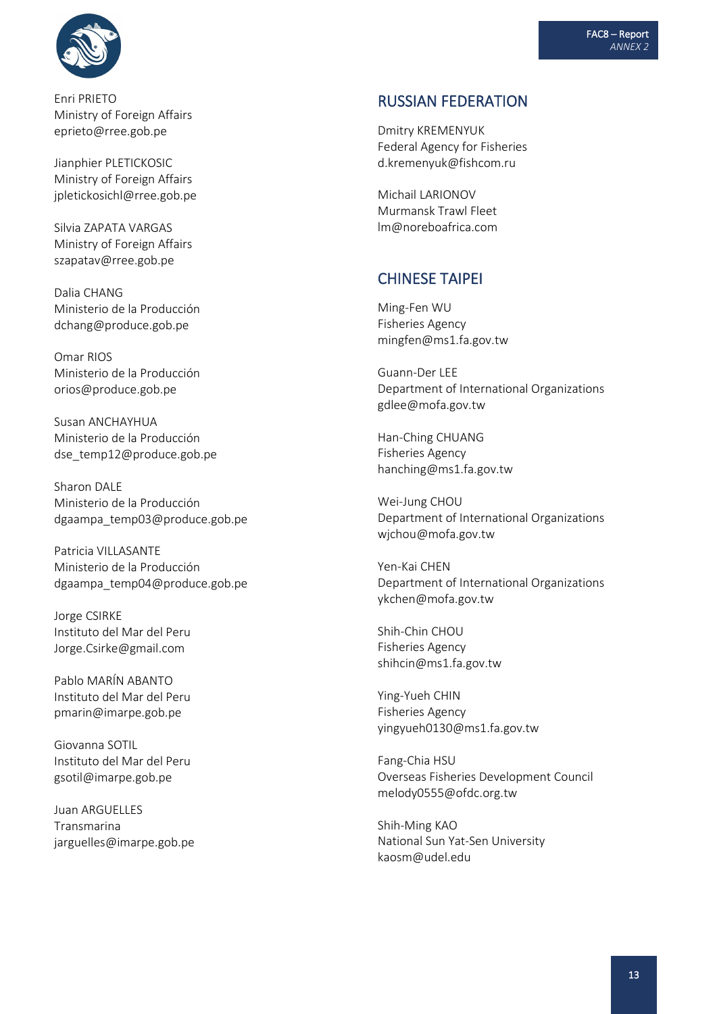



Enri PRIETO Ministry of Foreign Affairs eprieto@rree.gob.pe

Jianphier PLETICKOSIC Ministry of Foreign Affairs jpletickosichl@rree.gob.pe

Silvia ZAPATA VARGAS Ministry of Foreign Affairs szapatav@rree.gob.pe

Dalia CHANG Ministerio de la Producción dchang@produce.gob.pe

Omar RIOS Ministerio de la Producción orios@produce.gob.pe

Susan ANCHAYHUA Ministerio de la Producción dse\_temp12@produce.gob.pe

Sharon DALE Ministerio de la Producción dgaampa\_temp03@produce.gob.pe

Patricia VILLASANTE Ministerio de la Producción dgaampa\_temp04@produce.gob.pe

Jorge CSIRKE Instituto del Mar del Peru Jorge.Csirke@gmail.com

Pablo MARÍN ABANTO Instituto del Mar del Peru pmarin@imarpe.gob.pe

Giovanna SOTIL Instituto del Mar del Peru gsotil@imarpe.gob.pe

Juan ARGUELLES Transmarina jarguelles@imarpe.gob.pe

## RUSSIAN FEDERATION

Dmitry KREMENYUK Federal Agency for Fisheries d.kremenyuk@fishcom.ru

Michail LARIONOV Murmansk Trawl Fleet [lm@noreboafrica.com](mailto:lm@noreboafrica.com)

# CHINESE TAIPEI

Ming-Fen WU Fisheries Agency mingfen@ms1.fa.gov.tw

Guann-Der LEE Department of International Organizations gdlee@mofa.gov.tw

Han-Ching CHUANG Fisheries Agency [hanching@ms1.fa.gov.tw](mailto:hanching@ms1.fa.gov.tw)

Wei-Jung CHOU Department of International Organizations wjchou@mofa.gov.tw

Yen-Kai CHEN Department of International Organizations ykchen@mofa.gov.tw

Shih-Chin CHOU Fisheries Agency shihcin@ms1.fa.gov.tw

Ying-Yueh CHIN Fisheries Agency yingyueh0130@ms1.fa.gov.tw

Fang-Chia HSU Overseas Fisheries Development Council melody0555@ofdc.org.tw

Shih-Ming KAO National Sun Yat-Sen University kaosm@udel.edu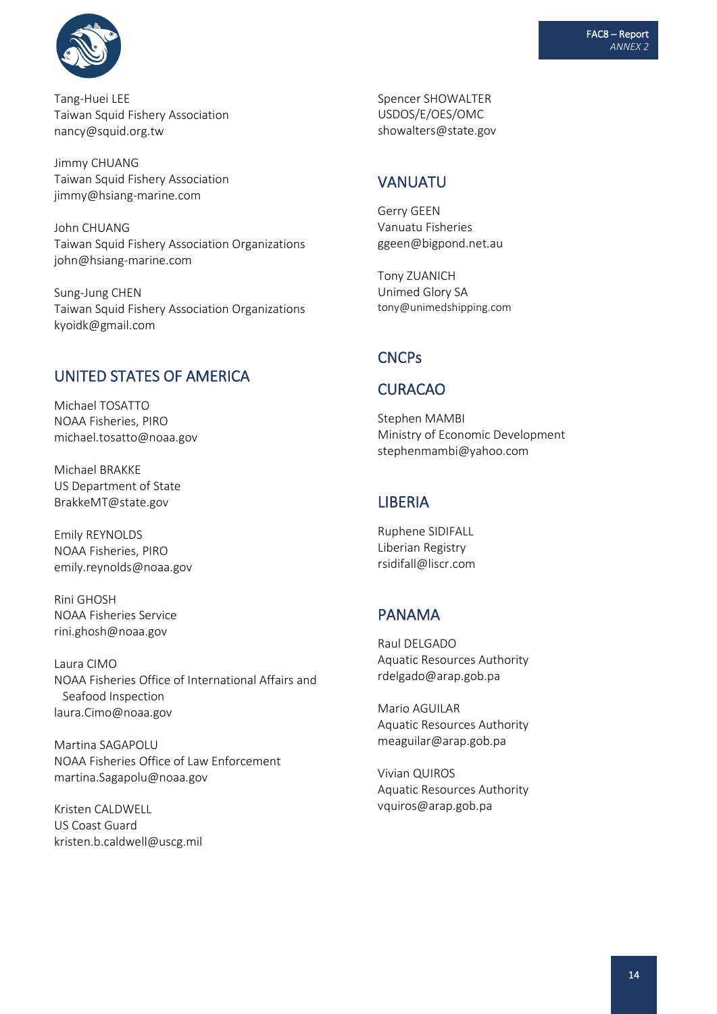

Tang-Huei LEE Taiwan Squid Fishery Association nancy@squid.org.tw

Jimmy CHUANG Taiwan Squid Fishery Association [jimmy@hsiang-marine.com](mailto:jimmy@hsiang-marine.com)

John CHUANG Taiwan Squid Fishery Association Organizations john@hsiang-marine.com

Sung-Jung CHEN Taiwan Squid Fishery Association Organizations kyoidk@gmail.com

# UNITED STATES OF AMERICA

Michael TOSATTO NOAA Fisheries, PIRO michael.tosatto@noaa.gov

Michael BRAKKE US Department of State BrakkeMT@state.gov

Emily REYNOLDS NOAA Fisheries, PIRO emily.reynolds@noaa.gov

Rini GHOSH NOAA Fisheries Service [rini.ghosh@noaa.gov](mailto:rini.ghosh@noaa.gov)

Laura CIMO NOAA Fisheries Office of International Affairs and Seafood Inspection laura.Cimo@noaa.gov

Martina SAGAPOLU NOAA Fisheries Office of Law Enforcement martina.Sagapolu@noaa.gov

Kristen CALDWELL US Coast Guard kristen.b.caldwell@uscg.mil Spencer SHOWALTER USDOS/E/OES/OMC showalters@state.gov

## VANUATU

Gerry GEEN Vanuatu Fisheries ggeen@bigpond.net.au

Tony ZUANICH Unimed Glory SA tony@unimedshipping.com

## **CNCPs**

## CURACAO

Stephen MAMBI Ministry of Economic Development stephenmambi@yahoo.com

## LIBERIA

Ruphene SIDIFALL Liberian Registry [rsidifall@liscr.com](mailto:rsidifall@liscr.com)

# PANAMA

Raul DELGADO Aquatic Resources Authority rdelgado@arap.gob.pa

Mario AGUILAR Aquatic Resources Authority [meaguilar@arap.gob.pa](mailto:meaguilar@arap.gob.pa)

Vivian QUIROS Aquatic Resources Authority vquiros@arap.gob.pa